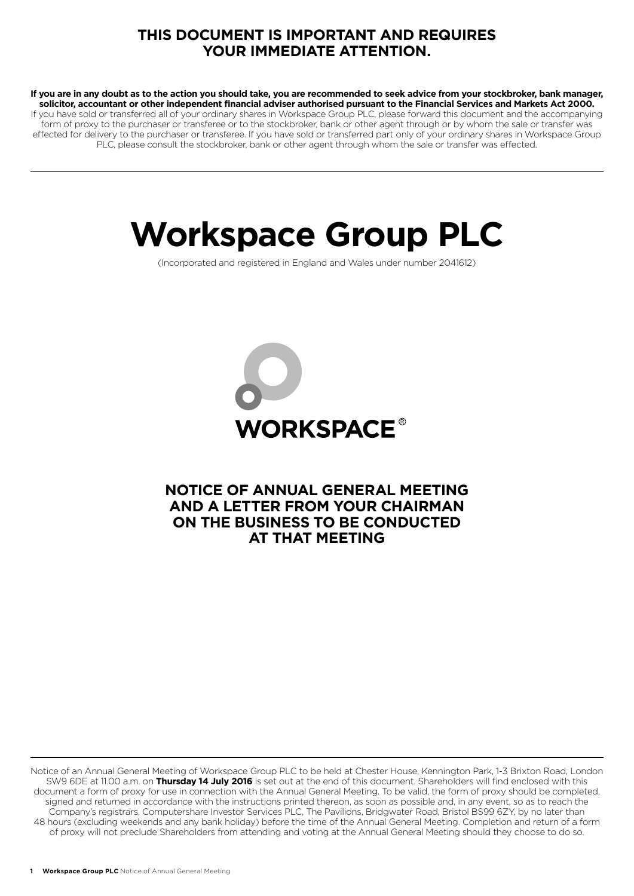# **THIS DOCUMENT IS IMPORTANT AND REQUIRES YOUR IMMEDIATE ATTENTION.**

**If you are in any doubt as to the action you should take, you are recommended to seek advice from your stockbroker, bank manager, solicitor, accountant or other independent financial adviser authorised pursuant to the Financial Services and Markets Act 2000.** If you have sold or transferred all of your ordinary shares in Workspace Group PLC, please forward this document and the accompanying form of proxy to the purchaser or transferee or to the stockbroker, bank or other agent through or by whom the sale or transfer was effected for delivery to the purchaser or transferee. If you have sold or transferred part only of your ordinary shares in Workspace Group PLC, please consult the stockbroker, bank or other agent through whom the sale or transfer was effected.

# **Workspace Group PLC**

(Incorporated and registered in England and Wales under number 2041612)



# **NOTICE OF ANNUAL GENERAL MEETING AND A LETTER FROM YOUR CHAIRMAN ON THE BUSINESS TO BE CONDUCTED AT THAT MEETING**

Notice of an Annual General Meeting of Workspace Group PLC to be held at Chester House, Kennington Park, 1-3 Brixton Road, London SW9 6DE at 11.00 a.m. on **Thursday 14 July 2016** is set out at the end of this document. Shareholders will find enclosed with this document a form of proxy for use in connection with the Annual General Meeting. To be valid, the form of proxy should be completed, signed and returned in accordance with the instructions printed thereon, as soon as possible and, in any event, so as to reach the Company's registrars, Computershare Investor Services PLC, The Pavilions, Bridgwater Road, Bristol BS99 6ZY, by no later than 48 hours (excluding weekends and any bank holiday) before the time of the Annual General Meeting. Completion and return of a form of proxy will not preclude Shareholders from attending and voting at the Annual General Meeting should they choose to do so.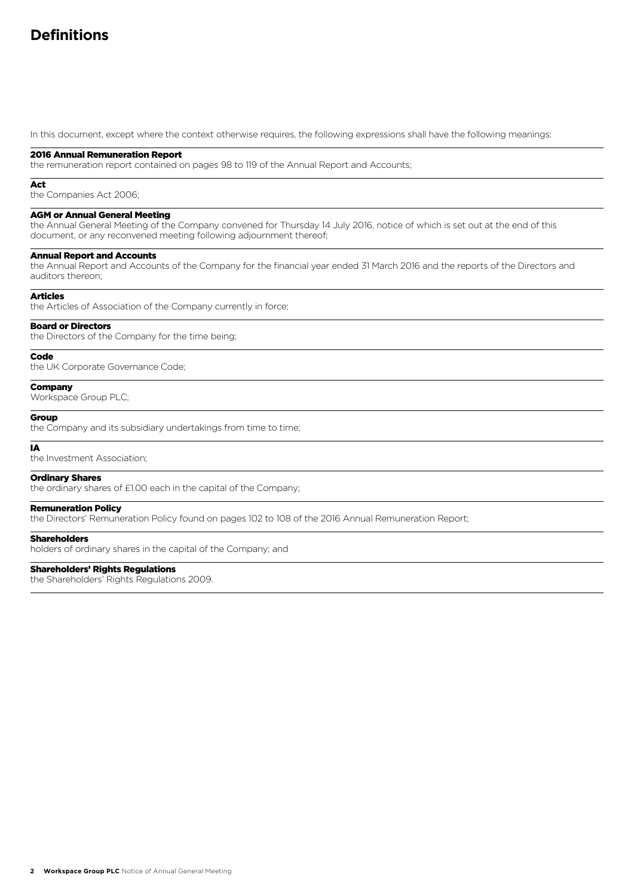# **Definitions**

In this document, except where the context otherwise requires, the following expressions shall have the following meanings:

#### 2016 Annual Remuneration Report

the remuneration report contained on pages 98 to 119 of the Annual Report and Accounts;

#### Act

the Companies Act 2006;

#### AGM or Annual General Meeting

the Annual General Meeting of the Company convened for Thursday 14 July 2016, notice of which is set out at the end of this document, or any reconvened meeting following adjournment thereof;

#### Annual Report and Accounts

the Annual Report and Accounts of the Company for the financial year ended 31 March 2016 and the reports of the Directors and auditors thereon;

#### Articles

the Articles of Association of the Company currently in force;

#### Board or Directors

the Directors of the Company for the time being;

## Code

the UK Corporate Governance Code;

#### **Company**

Workspace Group PLC;

## **Group**

the Company and its subsidiary undertakings from time to time;

#### IA

the Investment Association;

#### Ordinary Shares

the ordinary shares of £1.00 each in the capital of the Company;

#### Remuneration Policy

the Directors' Remuneration Policy found on pages 102 to 108 of the 2016 Annual Remuneration Report;

#### Shareholders

holders of ordinary shares in the capital of the Company; and

## Shareholders' Rights Regulations

the Shareholders' Rights Regulations 2009.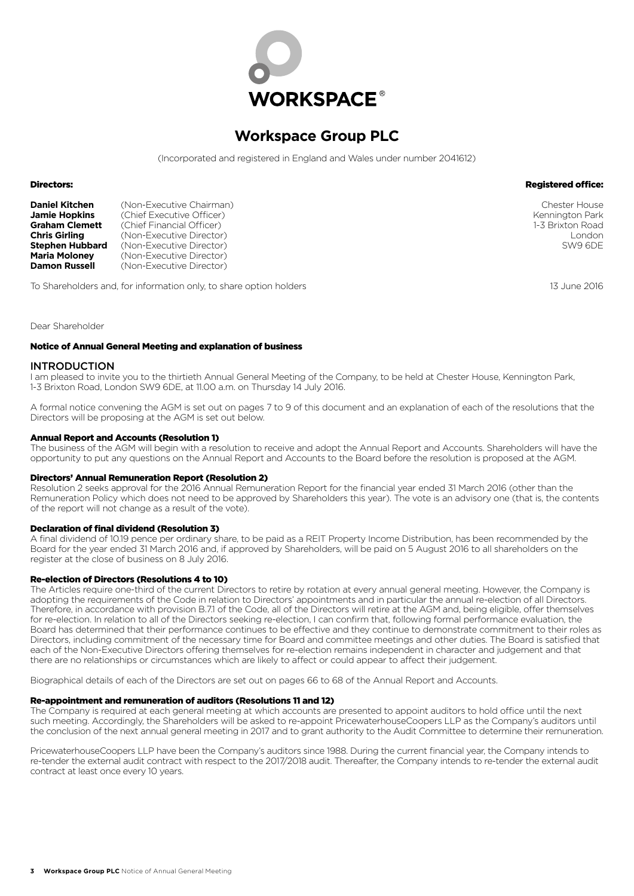

# **Workspace Group PLC**

(Incorporated and registered in England and Wales under number 2041612)

#### Directors:

| <b>Daniel Kitchen</b>  | (Non-Executive Chairman)  |
|------------------------|---------------------------|
| <b>Jamie Hopkins</b>   | (Chief Executive Officer) |
| <b>Graham Clemett</b>  | (Chief Financial Officer) |
| <b>Chris Girling</b>   | (Non-Executive Director)  |
| <b>Stephen Hubbard</b> | (Non-Executive Director)  |
| <b>Maria Moloney</b>   | (Non-Executive Director)  |
| <b>Damon Russell</b>   | (Non-Executive Director)  |

To Shareholders and, for information only, to share option holders

Chester House Kennington Park 1-3 Brixton Road London SW9 6DE

Registered office:

13 June 2016

Dear Shareholder

#### Notice of Annual General Meeting and explanation of business

#### INTRODUCTION

I am pleased to invite you to the thirtieth Annual General Meeting of the Company, to be held at Chester House, Kennington Park, 1-3 Brixton Road, London SW9 6DE, at 11.00 a.m. on Thursday 14 July 2016.

A formal notice convening the AGM is set out on pages 7 to 9 of this document and an explanation of each of the resolutions that the Directors will be proposing at the AGM is set out below.

#### Annual Report and Accounts (Resolution 1)

The business of the AGM will begin with a resolution to receive and adopt the Annual Report and Accounts. Shareholders will have the opportunity to put any questions on the Annual Report and Accounts to the Board before the resolution is proposed at the AGM.

#### Directors' Annual Remuneration Report (Resolution 2)

Resolution 2 seeks approval for the 2016 Annual Remuneration Report for the financial year ended 31 March 2016 (other than the Remuneration Policy which does not need to be approved by Shareholders this year). The vote is an advisory one (that is, the contents of the report will not change as a result of the vote).

#### Declaration of final dividend (Resolution 3)

A final dividend of 10.19 pence per ordinary share, to be paid as a REIT Property Income Distribution, has been recommended by the Board for the year ended 31 March 2016 and, if approved by Shareholders, will be paid on 5 August 2016 to all shareholders on the register at the close of business on 8 July 2016.

#### Re-election of Directors (Resolutions 4 to 10)

The Articles require one-third of the current Directors to retire by rotation at every annual general meeting. However, the Company is adopting the requirements of the Code in relation to Directors' appointments and in particular the annual re-election of all Directors. Therefore, in accordance with provision B.7.1 of the Code, all of the Directors will retire at the AGM and, being eligible, offer themselves for re-election. In relation to all of the Directors seeking re-election, I can confirm that, following formal performance evaluation, the Board has determined that their performance continues to be effective and they continue to demonstrate commitment to their roles as Directors, including commitment of the necessary time for Board and committee meetings and other duties. The Board is satisfied that each of the Non-Executive Directors offering themselves for re-election remains independent in character and judgement and that there are no relationships or circumstances which are likely to affect or could appear to affect their judgement.

Biographical details of each of the Directors are set out on pages 66 to 68 of the Annual Report and Accounts.

## Re-appointment and remuneration of auditors (Resolutions 11 and 12)

The Company is required at each general meeting at which accounts are presented to appoint auditors to hold office until the next such meeting. Accordingly, the Shareholders will be asked to re-appoint PricewaterhouseCoopers LLP as the Company's auditors until the conclusion of the next annual general meeting in 2017 and to grant authority to the Audit Committee to determine their remuneration.

PricewaterhouseCoopers LLP have been the Company's auditors since 1988. During the current financial year, the Company intends to re-tender the external audit contract with respect to the 2017/2018 audit. Thereafter, the Company intends to re-tender the external audit contract at least once every 10 years.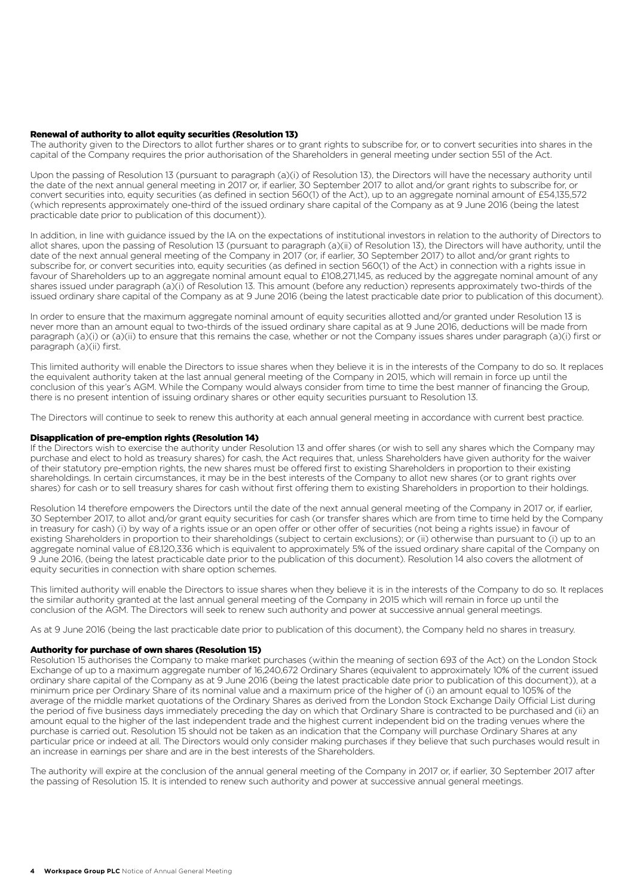#### Renewal of authority to allot equity securities (Resolution 13)

The authority given to the Directors to allot further shares or to grant rights to subscribe for, or to convert securities into shares in the capital of the Company requires the prior authorisation of the Shareholders in general meeting under section 551 of the Act.

Upon the passing of Resolution 13 (pursuant to paragraph (a)(i) of Resolution 13), the Directors will have the necessary authority until the date of the next annual general meeting in 2017 or, if earlier, 30 September 2017 to allot and/or grant rights to subscribe for, or convert securities into, equity securities (as defined in section 560(1) of the Act), up to an aggregate nominal amount of £54,135,572 (which represents approximately one-third of the issued ordinary share capital of the Company as at 9 June 2016 (being the latest practicable date prior to publication of this document)).

In addition, in line with guidance issued by the IA on the expectations of institutional investors in relation to the authority of Directors to allot shares, upon the passing of Resolution 13 (pursuant to paragraph (a)(ii) of Resolution 13), the Directors will have authority, until the date of the next annual general meeting of the Company in 2017 (or, if earlier, 30 September 2017) to allot and/or grant rights to subscribe for, or convert securities into, equity securities (as defined in section 560(1) of the Act) in connection with a rights issue in favour of Shareholders up to an aggregate nominal amount equal to £108,271,145, as reduced by the aggregate nominal amount of any shares issued under paragraph (a)(i) of Resolution 13. This amount (before any reduction) represents approximately two-thirds of the issued ordinary share capital of the Company as at 9 June 2016 (being the latest practicable date prior to publication of this document).

In order to ensure that the maximum aggregate nominal amount of equity securities allotted and/or granted under Resolution 13 is never more than an amount equal to two-thirds of the issued ordinary share capital as at 9 June 2016, deductions will be made from paragraph (a)(i) or (a)(ii) to ensure that this remains the case, whether or not the Company issues shares under paragraph (a)(i) first or paragraph (a)(ii) first.

This limited authority will enable the Directors to issue shares when they believe it is in the interests of the Company to do so. It replaces the equivalent authority taken at the last annual general meeting of the Company in 2015, which will remain in force up until the conclusion of this year's AGM. While the Company would always consider from time to time the best manner of financing the Group, there is no present intention of issuing ordinary shares or other equity securities pursuant to Resolution 13.

The Directors will continue to seek to renew this authority at each annual general meeting in accordance with current best practice.

#### Disapplication of pre-emption rights (Resolution 14)

If the Directors wish to exercise the authority under Resolution 13 and offer shares (or wish to sell any shares which the Company may purchase and elect to hold as treasury shares) for cash, the Act requires that, unless Shareholders have given authority for the waiver of their statutory pre-emption rights, the new shares must be offered first to existing Shareholders in proportion to their existing shareholdings. In certain circumstances, it may be in the best interests of the Company to allot new shares (or to grant rights over shares) for cash or to sell treasury shares for cash without first offering them to existing Shareholders in proportion to their holdings.

Resolution 14 therefore empowers the Directors until the date of the next annual general meeting of the Company in 2017 or, if earlier 30 September 2017, to allot and/or grant equity securities for cash (or transfer shares which are from time to time held by the Company in treasury for cash) (i) by way of a rights issue or an open offer or other offer of securities (not being a rights issue) in favour of existing Shareholders in proportion to their shareholdings (subject to certain exclusions); or (ii) otherwise than pursuant to (i) up to an aggregate nominal value of £8,120,336 which is equivalent to approximately 5% of the issued ordinary share capital of the Company on 9 June 2016, (being the latest practicable date prior to the publication of this document). Resolution 14 also covers the allotment of equity securities in connection with share option schemes.

This limited authority will enable the Directors to issue shares when they believe it is in the interests of the Company to do so. It replaces the similar authority granted at the last annual general meeting of the Company in 2015 which will remain in force up until the conclusion of the AGM. The Directors will seek to renew such authority and power at successive annual general meetings.

As at 9 June 2016 (being the last practicable date prior to publication of this document), the Company held no shares in treasury.

#### Authority for purchase of own shares (Resolution 15)

Resolution 15 authorises the Company to make market purchases (within the meaning of section 693 of the Act) on the London Stock Exchange of up to a maximum aggregate number of 16,240,672 Ordinary Shares (equivalent to approximately 10% of the current issued ordinary share capital of the Company as at 9 June 2016 (being the latest practicable date prior to publication of this document)), at a minimum price per Ordinary Share of its nominal value and a maximum price of the higher of (i) an amount equal to 105% of the average of the middle market quotations of the Ordinary Shares as derived from the London Stock Exchange Daily Official List during the period of five business days immediately preceding the day on which that Ordinary Share is contracted to be purchased and (ii) an amount equal to the higher of the last independent trade and the highest current independent bid on the trading venues where the purchase is carried out. Resolution 15 should not be taken as an indication that the Company will purchase Ordinary Shares at any particular price or indeed at all. The Directors would only consider making purchases if they believe that such purchases would result in an increase in earnings per share and are in the best interests of the Shareholders.

The authority will expire at the conclusion of the annual general meeting of the Company in 2017 or, if earlier, 30 September 2017 after the passing of Resolution 15. It is intended to renew such authority and power at successive annual general meetings.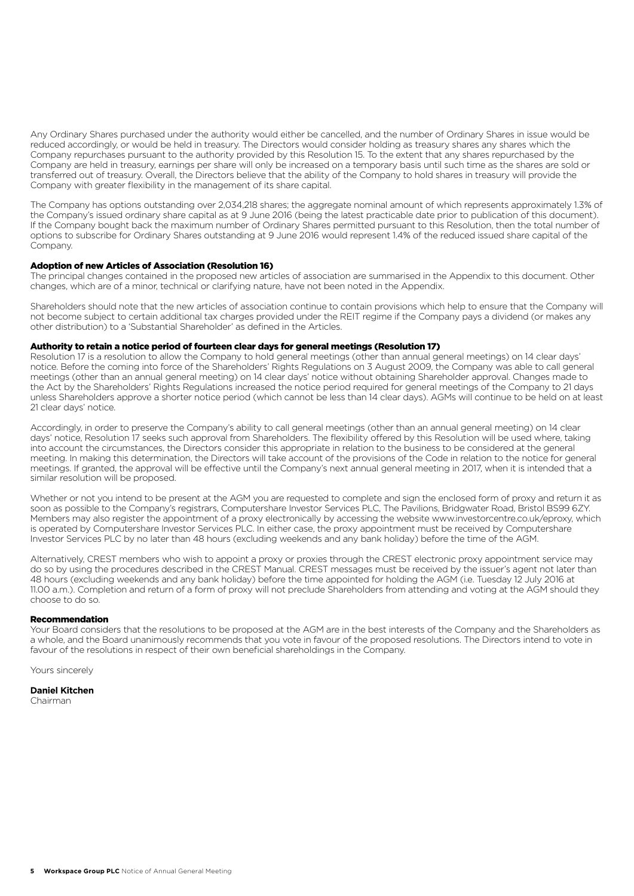Any Ordinary Shares purchased under the authority would either be cancelled, and the number of Ordinary Shares in issue would be reduced accordingly, or would be held in treasury. The Directors would consider holding as treasury shares any shares which the Company repurchases pursuant to the authority provided by this Resolution 15. To the extent that any shares repurchased by the Company are held in treasury, earnings per share will only be increased on a temporary basis until such time as the shares are sold or transferred out of treasury. Overall, the Directors believe that the ability of the Company to hold shares in treasury will provide the Company with greater flexibility in the management of its share capital.

The Company has options outstanding over 2,034,218 shares; the aggregate nominal amount of which represents approximately 1.3% of the Company's issued ordinary share capital as at 9 June 2016 (being the latest practicable date prior to publication of this document). If the Company bought back the maximum number of Ordinary Shares permitted pursuant to this Resolution, then the total number of options to subscribe for Ordinary Shares outstanding at 9 June 2016 would represent 1.4% of the reduced issued share capital of the Company.

#### Adoption of new Articles of Association (Resolution 16)

The principal changes contained in the proposed new articles of association are summarised in the Appendix to this document. Other changes, which are of a minor, technical or clarifying nature, have not been noted in the Appendix.

Shareholders should note that the new articles of association continue to contain provisions which help to ensure that the Company will not become subject to certain additional tax charges provided under the REIT regime if the Company pays a dividend (or makes any other distribution) to a 'Substantial Shareholder' as defined in the Articles.

#### Authority to retain a notice period of fourteen clear days for general meetings (Resolution 17)

Resolution 17 is a resolution to allow the Company to hold general meetings (other than annual general meetings) on 14 clear days' notice. Before the coming into force of the Shareholders' Rights Regulations on 3 August 2009, the Company was able to call general meetings (other than an annual general meeting) on 14 clear days' notice without obtaining Shareholder approval. Changes made to the Act by the Shareholders' Rights Regulations increased the notice period required for general meetings of the Company to 21 days unless Shareholders approve a shorter notice period (which cannot be less than 14 clear days). AGMs will continue to be held on at least 21 clear days' notice.

Accordingly, in order to preserve the Company's ability to call general meetings (other than an annual general meeting) on 14 clear days' notice, Resolution 17 seeks such approval from Shareholders. The flexibility offered by this Resolution will be used where, taking into account the circumstances, the Directors consider this appropriate in relation to the business to be considered at the general meeting. In making this determination, the Directors will take account of the provisions of the Code in relation to the notice for general meetings. If granted, the approval will be effective until the Company's next annual general meeting in 2017, when it is intended that a similar resolution will be proposed.

Whether or not you intend to be present at the AGM you are requested to complete and sign the enclosed form of proxy and return it as soon as possible to the Company's registrars, Computershare Investor Services PLC, The Pavilions, Bridgwater Road, Bristol BS99 6ZY. Members may also register the appointment of a proxy electronically by accessing the website www.investorcentre.co.uk/eproxy, which is operated by Computershare Investor Services PLC. In either case, the proxy appointment must be received by Computershare Investor Services PLC by no later than 48 hours (excluding weekends and any bank holiday) before the time of the AGM.

Alternatively, CREST members who wish to appoint a proxy or proxies through the CREST electronic proxy appointment service may do so by using the procedures described in the CREST Manual. CREST messages must be received by the issuer's agent not later than 48 hours (excluding weekends and any bank holiday) before the time appointed for holding the AGM (i.e. Tuesday 12 July 2016 at 11.00 a.m.). Completion and return of a form of proxy will not preclude Shareholders from attending and voting at the AGM should they choose to do so.

#### **Decommendation**

Your Board considers that the resolutions to be proposed at the AGM are in the best interests of the Company and the Shareholders as a whole, and the Board unanimously recommends that you vote in favour of the proposed resolutions. The Directors intend to vote in favour of the resolutions in respect of their own beneficial shareholdings in the Company.

Yours sincerely

#### **Daniel Kitchen**

Chairman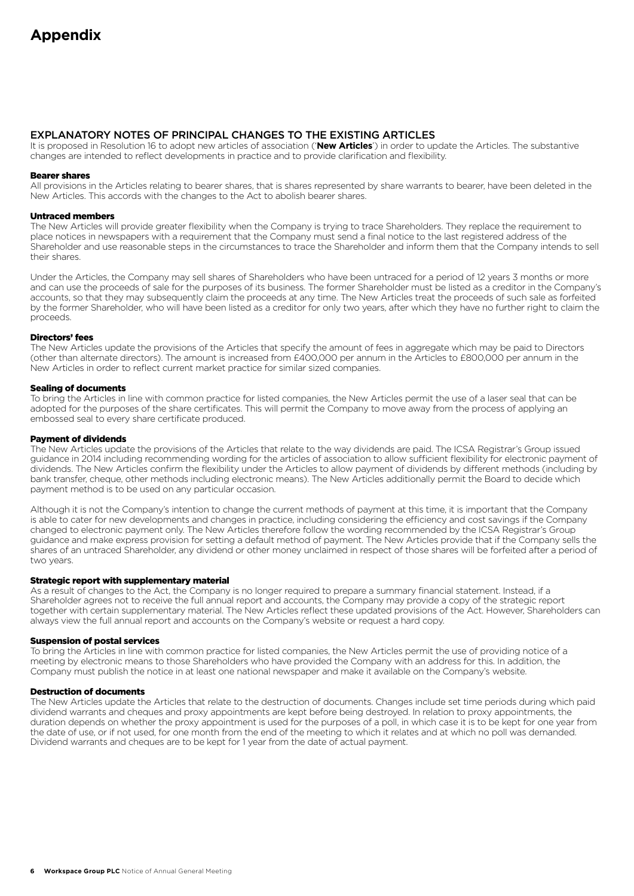# EXPLANATORY NOTES OF PRINCIPAL CHANGES TO THE EXISTING ARTICLES

It is proposed in Resolution 16 to adopt new articles of association ('**New Articles**') in order to update the Articles. The substantive changes are intended to reflect developments in practice and to provide clarification and flexibility.

#### Bearer shares

All provisions in the Articles relating to bearer shares, that is shares represented by share warrants to bearer, have been deleted in the New Articles. This accords with the changes to the Act to abolish bearer shares.

#### Untraced members

The New Articles will provide greater flexibility when the Company is trying to trace Shareholders. They replace the requirement to place notices in newspapers with a requirement that the Company must send a final notice to the last registered address of the Shareholder and use reasonable steps in the circumstances to trace the Shareholder and inform them that the Company intends to sell their shares.

Under the Articles, the Company may sell shares of Shareholders who have been untraced for a period of 12 years 3 months or more and can use the proceeds of sale for the purposes of its business. The former Shareholder must be listed as a creditor in the Company's accounts, so that they may subsequently claim the proceeds at any time. The New Articles treat the proceeds of such sale as forfeited by the former Shareholder, who will have been listed as a creditor for only two years, after which they have no further right to claim the proceeds.

#### Directors' fees

The New Articles update the provisions of the Articles that specify the amount of fees in aggregate which may be paid to Directors (other than alternate directors). The amount is increased from £400,000 per annum in the Articles to £800,000 per annum in the New Articles in order to reflect current market practice for similar sized companies.

#### Sealing of documents

To bring the Articles in line with common practice for listed companies, the New Articles permit the use of a laser seal that can be adopted for the purposes of the share certificates. This will permit the Company to move away from the process of applying an embossed seal to every share certificate produced.

#### Payment of dividends

The New Articles update the provisions of the Articles that relate to the way dividends are paid. The ICSA Registrar's Group issued guidance in 2014 including recommending wording for the articles of association to allow sufficient flexibility for electronic payment of dividends. The New Articles confirm the flexibility under the Articles to allow payment of dividends by different methods (including by bank transfer, cheque, other methods including electronic means). The New Articles additionally permit the Board to decide which payment method is to be used on any particular occasion.

Although it is not the Company's intention to change the current methods of payment at this time, it is important that the Company is able to cater for new developments and changes in practice, including considering the efficiency and cost savings if the Company changed to electronic payment only. The New Articles therefore follow the wording recommended by the ICSA Registrar's Group guidance and make express provision for setting a default method of payment. The New Articles provide that if the Company sells the shares of an untraced Shareholder, any dividend or other money unclaimed in respect of those shares will be forfeited after a period of two years.

#### Strategic report with supplementary material

As a result of changes to the Act, the Company is no longer required to prepare a summary financial statement. Instead, if a Shareholder agrees not to receive the full annual report and accounts, the Company may provide a copy of the strategic report together with certain supplementary material. The New Articles reflect these updated provisions of the Act. However, Shareholders can always view the full annual report and accounts on the Company's website or request a hard copy.

#### Suspension of postal services

To bring the Articles in line with common practice for listed companies, the New Articles permit the use of providing notice of a meeting by electronic means to those Shareholders who have provided the Company with an address for this. In addition, the Company must publish the notice in at least one national newspaper and make it available on the Company's website.

#### Destruction of documents

The New Articles update the Articles that relate to the destruction of documents. Changes include set time periods during which paid dividend warrants and cheques and proxy appointments are kept before being destroyed. In relation to proxy appointments, the duration depends on whether the proxy appointment is used for the purposes of a poll, in which case it is to be kept for one year from the date of use, or if not used, for one month from the end of the meeting to which it relates and at which no poll was demanded. Dividend warrants and cheques are to be kept for 1 year from the date of actual payment.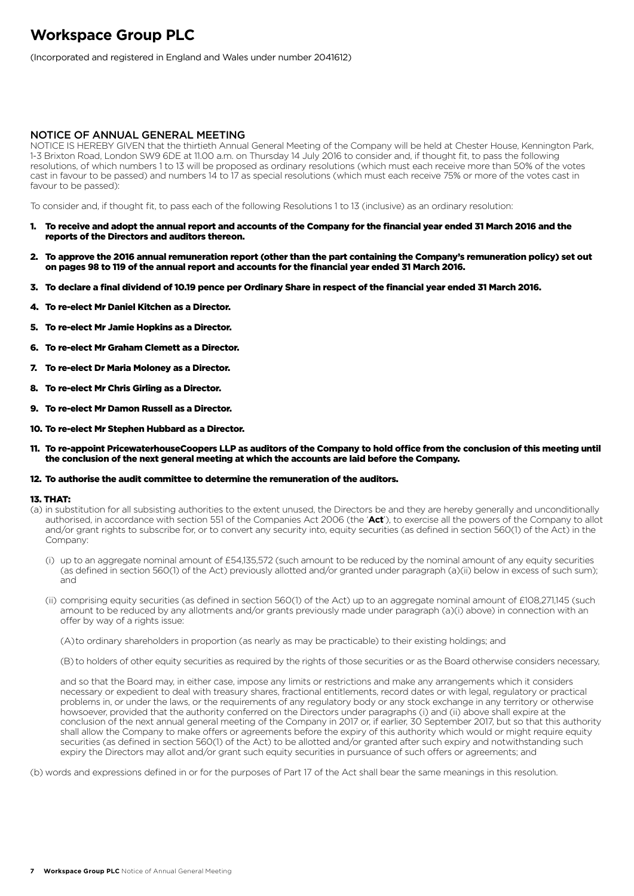# **Workspace Group PLC**

(Incorporated and registered in England and Wales under number 2041612)

#### NOTICE OF ANNUAL GENERAL MEETING

NOTICE IS HEREBY GIVEN that the thirtieth Annual General Meeting of the Company will be held at Chester House, Kennington Park, 1-3 Brixton Road, London SW9 6DE at 11.00 a.m. on Thursday 14 July 2016 to consider and, if thought fit, to pass the following resolutions, of which numbers 1 to 13 will be proposed as ordinary resolutions (which must each receive more than 50% of the votes cast in favour to be passed) and numbers 14 to 17 as special resolutions (which must each receive 75% or more of the votes cast in favour to be passed):

To consider and, if thought fit, to pass each of the following Resolutions 1 to 13 (inclusive) as an ordinary resolution:

- 1. To receive and adopt the annual report and accounts of the Company for the financial year ended 31 March 2016 and the reports of the Directors and auditors thereon.
- 2. To approve the 2016 annual remuneration report (other than the part containing the Company's remuneration policy) set out on pages 98 to 119 of the annual report and accounts for the financial year ended 31 March 2016.
- 3. To declare a final dividend of 10.19 pence per Ordinary Share in respect of the financial year ended 31 March 2016.
- 4. To re-elect Mr Daniel Kitchen as a Director.
- 5. To re-elect Mr Jamie Hopkins as a Director.
- 6. To re-elect Mr Graham Clemett as a Director.
- 7. To re-elect Dr Maria Moloney as a Director.
- 8. To re-elect Mr Chris Girling as a Director.
- 9. To re-elect Mr Damon Russell as a Director.
- 10. To re-elect Mr Stephen Hubbard as a Director.
- 11. To re-appoint PricewaterhouseCoopers LLP as auditors of the Company to hold office from the conclusion of this meeting until the conclusion of the next general meeting at which the accounts are laid before the Company.

#### 12. To authorise the audit committee to determine the remuneration of the auditors.

#### 13. THAT:

- (a) in substitution for all subsisting authorities to the extent unused, the Directors be and they are hereby generally and unconditionally authorised, in accordance with section 551 of the Companies Act 2006 (the '**Act**'), to exercise all the powers of the Company to allot and/or grant rights to subscribe for, or to convert any security into, equity securities (as defined in section 560(1) of the Act) in the Company:
	- (i) up to an aggregate nominal amount of £54,135,572 (such amount to be reduced by the nominal amount of any equity securities (as defined in section 560(1) of the Act) previously allotted and/or granted under paragraph (a)(ii) below in excess of such sum); and
	- (ii) comprising equity securities (as defined in section 560(1) of the Act) up to an aggregate nominal amount of £108,271,145 (such amount to be reduced by any allotments and/or grants previously made under paragraph (a)(i) above) in connection with an offer by way of a rights issue:

(A)to ordinary shareholders in proportion (as nearly as may be practicable) to their existing holdings; and

(B) to holders of other equity securities as required by the rights of those securities or as the Board otherwise considers necessary,

 and so that the Board may, in either case, impose any limits or restrictions and make any arrangements which it considers necessary or expedient to deal with treasury shares, fractional entitlements, record dates or with legal, regulatory or practical problems in, or under the laws, or the requirements of any regulatory body or any stock exchange in any territory or otherwise howsoever, provided that the authority conferred on the Directors under paragraphs (i) and (ii) above shall expire at the conclusion of the next annual general meeting of the Company in 2017 or, if earlier, 30 September 2017, but so that this authority shall allow the Company to make offers or agreements before the expiry of this authority which would or might require equity securities (as defined in section 560(1) of the Act) to be allotted and/or granted after such expiry and notwithstanding such expiry the Directors may allot and/or grant such equity securities in pursuance of such offers or agreements; and

(b) words and expressions defined in or for the purposes of Part 17 of the Act shall bear the same meanings in this resolution.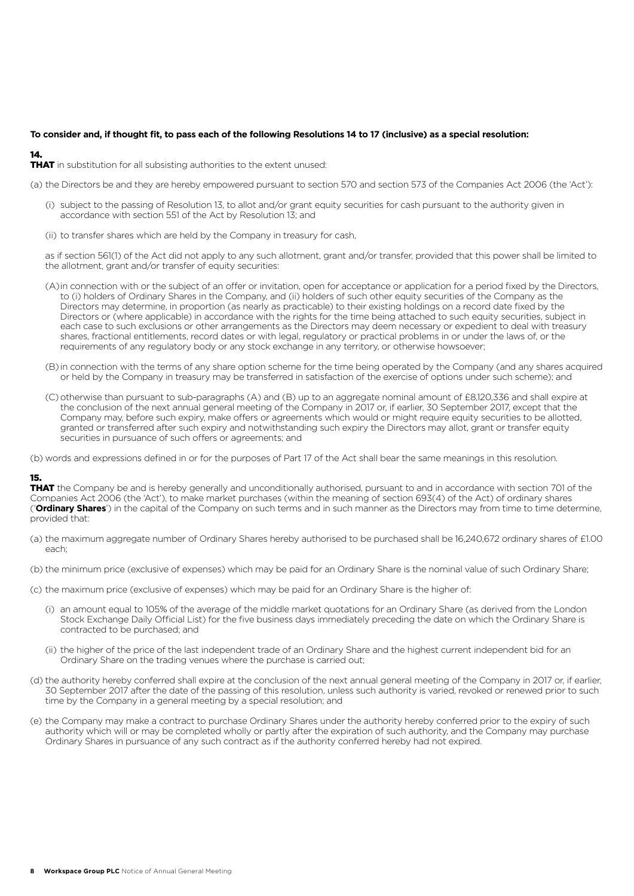## **To consider and, if thought fit, to pass each of the following Resolutions 14 to 17 (inclusive) as a special resolution:**

# 14.

**THAT** in substitution for all subsisting authorities to the extent unused:

(a) the Directors be and they are hereby empowered pursuant to section 570 and section 573 of the Companies Act 2006 (the 'Act'):

- (i) subject to the passing of Resolution 13, to allot and/or grant equity securities for cash pursuant to the authority given in accordance with section 551 of the Act by Resolution 13; and
- (ii) to transfer shares which are held by the Company in treasury for cash,

 as if section 561(1) of the Act did not apply to any such allotment, grant and/or transfer, provided that this power shall be limited to the allotment, grant and/or transfer of equity securities:

- (A) in connection with or the subject of an offer or invitation, open for acceptance or application for a period fixed by the Directors, to (i) holders of Ordinary Shares in the Company, and (ii) holders of such other equity securities of the Company as the Directors may determine, in proportion (as nearly as practicable) to their existing holdings on a record date fixed by the Directors or (where applicable) in accordance with the rights for the time being attached to such equity securities, subject in each case to such exclusions or other arrangements as the Directors may deem necessary or expedient to deal with treasury shares, fractional entitlements, record dates or with legal, regulatory or practical problems in or under the laws of, or the requirements of any regulatory body or any stock exchange in any territory, or otherwise howsoever;
- (B) in connection with the terms of any share option scheme for the time being operated by the Company (and any shares acquired or held by the Company in treasury may be transferred in satisfaction of the exercise of options under such scheme); and
- (C) otherwise than pursuant to sub-paragraphs (A) and (B) up to an aggregate nominal amount of £8,120,336 and shall expire at the conclusion of the next annual general meeting of the Company in 2017 or, if earlier, 30 September 2017, except that the Company may, before such expiry, make offers or agreements which would or might require equity securities to be allotted, granted or transferred after such expiry and notwithstanding such expiry the Directors may allot, grant or transfer equity securities in pursuance of such offers or agreements; and

(b) words and expressions defined in or for the purposes of Part 17 of the Act shall bear the same meanings in this resolution.

## 15.

THAT the Company be and is hereby generally and unconditionally authorised, pursuant to and in accordance with section 701 of the Companies Act 2006 (the 'Act'), to make market purchases (within the meaning of section 693(4) of the Act) of ordinary shares ('**Ordinary Shares**') in the capital of the Company on such terms and in such manner as the Directors may from time to time determine, provided that:

- (a) the maximum aggregate number of Ordinary Shares hereby authorised to be purchased shall be 16,240,672 ordinary shares of £1.00 each;
- (b) the minimum price (exclusive of expenses) which may be paid for an Ordinary Share is the nominal value of such Ordinary Share;
- (c) the maximum price (exclusive of expenses) which may be paid for an Ordinary Share is the higher of:
	- (i) an amount equal to 105% of the average of the middle market quotations for an Ordinary Share (as derived from the London Stock Exchange Daily Official List) for the five business days immediately preceding the date on which the Ordinary Share is contracted to be purchased; and
	- (ii) the higher of the price of the last independent trade of an Ordinary Share and the highest current independent bid for an Ordinary Share on the trading venues where the purchase is carried out;
- (d) the authority hereby conferred shall expire at the conclusion of the next annual general meeting of the Company in 2017 or, if earlier, 30 September 2017 after the date of the passing of this resolution, unless such authority is varied, revoked or renewed prior to such time by the Company in a general meeting by a special resolution; and
- (e) the Company may make a contract to purchase Ordinary Shares under the authority hereby conferred prior to the expiry of such authority which will or may be completed wholly or partly after the expiration of such authority, and the Company may purchase Ordinary Shares in pursuance of any such contract as if the authority conferred hereby had not expired.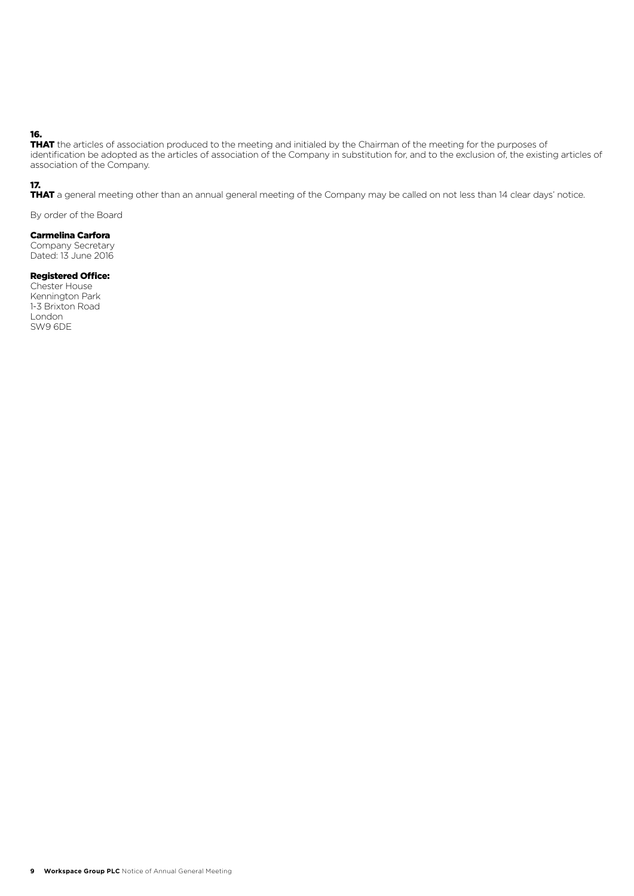# 16.

THAT the articles of association produced to the meeting and initialed by the Chairman of the meeting for the purposes of identification be adopted as the articles of association of the Company in substitution for, and to the exclusion of, the existing articles of association of the Company.

### 17.

THAT a general meeting other than an annual general meeting of the Company may be called on not less than 14 clear days' notice.

By order of the Board

#### Carmelina Carfora

Company Secretary Dated: 13 June 2016

#### Registered Office:

Chester House Kennington Park 1-3 Brixton Road London SW9 6DE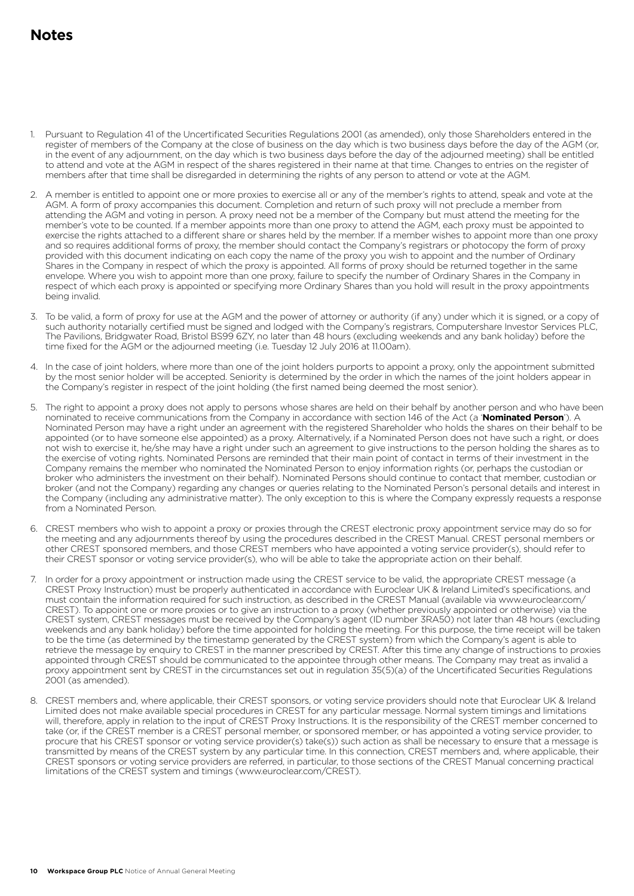# **Notes**

- 1. Pursuant to Regulation 41 of the Uncertificated Securities Regulations 2001 (as amended), only those Shareholders entered in the register of members of the Company at the close of business on the day which is two business days before the day of the AGM (or, in the event of any adjournment, on the day which is two business days before the day of the adjourned meeting) shall be entitled to attend and vote at the AGM in respect of the shares registered in their name at that time. Changes to entries on the register of members after that time shall be disregarded in determining the rights of any person to attend or vote at the AGM.
- 2. A member is entitled to appoint one or more proxies to exercise all or any of the member's rights to attend, speak and vote at the AGM. A form of proxy accompanies this document. Completion and return of such proxy will not preclude a member from attending the AGM and voting in person. A proxy need not be a member of the Company but must attend the meeting for the member's vote to be counted. If a member appoints more than one proxy to attend the AGM, each proxy must be appointed to exercise the rights attached to a different share or shares held by the member. If a member wishes to appoint more than one proxy and so requires additional forms of proxy, the member should contact the Company's registrars or photocopy the form of proxy provided with this document indicating on each copy the name of the proxy you wish to appoint and the number of Ordinary Shares in the Company in respect of which the proxy is appointed. All forms of proxy should be returned together in the same envelope. Where you wish to appoint more than one proxy, failure to specify the number of Ordinary Shares in the Company in respect of which each proxy is appointed or specifying more Ordinary Shares than you hold will result in the proxy appointments being invalid.
- 3. To be valid, a form of proxy for use at the AGM and the power of attorney or authority (if any) under which it is signed, or a copy of such authority notarially certified must be signed and lodged with the Company's registrars, Computershare Investor Services PLC, The Pavilions, Bridgwater Road, Bristol BS99 6ZY, no later than 48 hours (excluding weekends and any bank holiday) before the time fixed for the AGM or the adjourned meeting (i.e. Tuesday 12 July 2016 at 11.00am).
- 4. In the case of joint holders, where more than one of the joint holders purports to appoint a proxy, only the appointment submitted by the most senior holder will be accepted. Seniority is determined by the order in which the names of the joint holders appear in the Company's register in respect of the joint holding (the first named being deemed the most senior).
- 5. The right to appoint a proxy does not apply to persons whose shares are held on their behalf by another person and who have been nominated to receive communications from the Company in accordance with section 146 of the Act (a '**Nominated Person**'). A Nominated Person may have a right under an agreement with the registered Shareholder who holds the shares on their behalf to be appointed (or to have someone else appointed) as a proxy. Alternatively, if a Nominated Person does not have such a right, or does not wish to exercise it, he/she may have a right under such an agreement to give instructions to the person holding the shares as to the exercise of voting rights. Nominated Persons are reminded that their main point of contact in terms of their investment in the Company remains the member who nominated the Nominated Person to enjoy information rights (or, perhaps the custodian or broker who administers the investment on their behalf). Nominated Persons should continue to contact that member, custodian or broker (and not the Company) regarding any changes or queries relating to the Nominated Person's personal details and interest in the Company (including any administrative matter). The only exception to this is where the Company expressly requests a response from a Nominated Person.
- 6. CREST members who wish to appoint a proxy or proxies through the CREST electronic proxy appointment service may do so for the meeting and any adjournments thereof by using the procedures described in the CREST Manual. CREST personal members or other CREST sponsored members, and those CREST members who have appointed a voting service provider(s), should refer to their CREST sponsor or voting service provider(s), who will be able to take the appropriate action on their behalf.
- 7. In order for a proxy appointment or instruction made using the CREST service to be valid, the appropriate CREST message (a CREST Proxy Instruction) must be properly authenticated in accordance with Euroclear UK & Ireland Limited's specifications, and must contain the information required for such instruction, as described in the CREST Manual (available via www.euroclear.com/ CREST). To appoint one or more proxies or to give an instruction to a proxy (whether previously appointed or otherwise) via the CREST system, CREST messages must be received by the Company's agent (ID number 3RA50) not later than 48 hours (excluding weekends and any bank holiday) before the time appointed for holding the meeting. For this purpose, the time receipt will be taken to be the time (as determined by the timestamp generated by the CREST system) from which the Company's agent is able to retrieve the message by enquiry to CREST in the manner prescribed by CREST. After this time any change of instructions to proxies appointed through CREST should be communicated to the appointee through other means. The Company may treat as invalid a proxy appointment sent by CREST in the circumstances set out in regulation 35(5)(a) of the Uncertificated Securities Regulations 2001 (as amended).
- 8. CREST members and, where applicable, their CREST sponsors, or voting service providers should note that Euroclear UK & Ireland Limited does not make available special procedures in CREST for any particular message. Normal system timings and limitations will, therefore, apply in relation to the input of CREST Proxy Instructions. It is the responsibility of the CREST member concerned to take (or, if the CREST member is a CREST personal member, or sponsored member, or has appointed a voting service provider, to procure that his CREST sponsor or voting service provider(s) take(s)) such action as shall be necessary to ensure that a message is transmitted by means of the CREST system by any particular time. In this connection, CREST members and, where applicable, their CREST sponsors or voting service providers are referred, in particular, to those sections of the CREST Manual concerning practical limitations of the CREST system and timings (www.euroclear.com/CREST).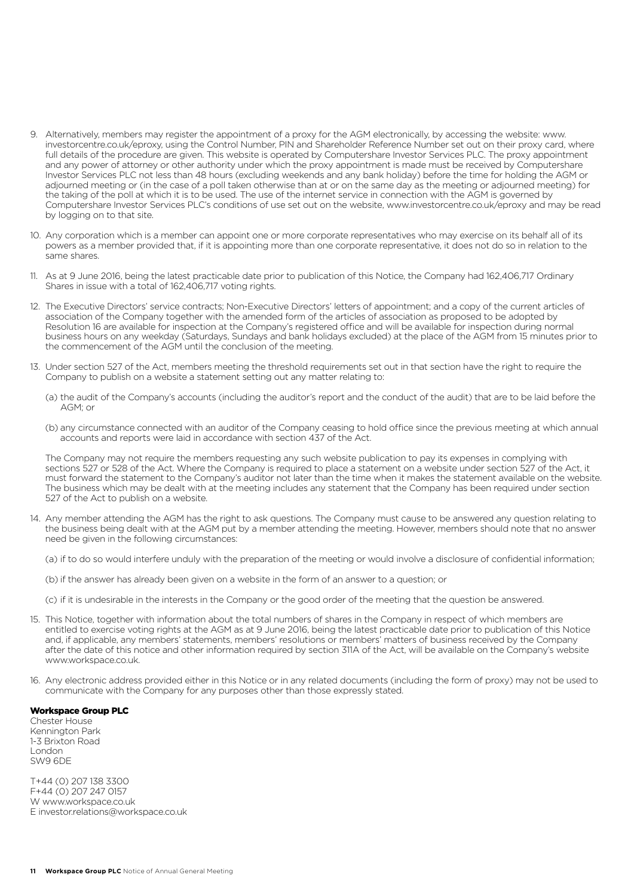- 9. Alternatively, members may register the appointment of a proxy for the AGM electronically, by accessing the website: www. investorcentre.co.uk/eproxy, using the Control Number, PIN and Shareholder Reference Number set out on their proxy card, where full details of the procedure are given. This website is operated by Computershare Investor Services PLC. The proxy appointment and any power of attorney or other authority under which the proxy appointment is made must be received by Computershare Investor Services PLC not less than 48 hours (excluding weekends and any bank holiday) before the time for holding the AGM or adjourned meeting or (in the case of a poll taken otherwise than at or on the same day as the meeting or adjourned meeting) for the taking of the poll at which it is to be used. The use of the internet service in connection with the AGM is governed by Computershare Investor Services PLC's conditions of use set out on the website, www.investorcentre.co.uk/eproxy and may be read by logging on to that site.
- 10. Any corporation which is a member can appoint one or more corporate representatives who may exercise on its behalf all of its powers as a member provided that, if it is appointing more than one corporate representative, it does not do so in relation to the same shares.
- 11. As at 9 June 2016, being the latest practicable date prior to publication of this Notice, the Company had 162,406,717 Ordinary Shares in issue with a total of 162,406,717 voting rights.
- 12. The Executive Directors' service contracts; Non-Executive Directors' letters of appointment; and a copy of the current articles of association of the Company together with the amended form of the articles of association as proposed to be adopted by Resolution 16 are available for inspection at the Company's registered office and will be available for inspection during normal business hours on any weekday (Saturdays, Sundays and bank holidays excluded) at the place of the AGM from 15 minutes prior to the commencement of the AGM until the conclusion of the meeting.
- 13. Under section 527 of the Act, members meeting the threshold requirements set out in that section have the right to require the Company to publish on a website a statement setting out any matter relating to:
	- (a) the audit of the Company's accounts (including the auditor's report and the conduct of the audit) that are to be laid before the AGM; or
	- (b) any circumstance connected with an auditor of the Company ceasing to hold office since the previous meeting at which annual accounts and reports were laid in accordance with section 437 of the Act.

 The Company may not require the members requesting any such website publication to pay its expenses in complying with sections 527 or 528 of the Act. Where the Company is required to place a statement on a website under section 527 of the Act, it must forward the statement to the Company's auditor not later than the time when it makes the statement available on the website. The business which may be dealt with at the meeting includes any statement that the Company has been required under section 527 of the Act to publish on a website.

14. Any member attending the AGM has the right to ask questions. The Company must cause to be answered any question relating to the business being dealt with at the AGM put by a member attending the meeting. However, members should note that no answer need be given in the following circumstances:

(a) if to do so would interfere unduly with the preparation of the meeting or would involve a disclosure of confidential information;

- (b) if the answer has already been given on a website in the form of an answer to a question; or
- (c) if it is undesirable in the interests in the Company or the good order of the meeting that the question be answered.
- 15. This Notice, together with information about the total numbers of shares in the Company in respect of which members are entitled to exercise voting rights at the AGM as at 9 June 2016, being the latest practicable date prior to publication of this Notice and, if applicable, any members' statements, members' resolutions or members' matters of business received by the Company after the date of this notice and other information required by section 311A of the Act, will be available on the Company's website www.workspace.co.uk
- 16. Any electronic address provided either in this Notice or in any related documents (including the form of proxy) may not be used to communicate with the Company for any purposes other than those expressly stated.

#### Workspace Group PLC

Chester House Kennington Park 1-3 Brixton Road London SW9 6DE

T+44 (0) 207 138 3300 F+44 (0) 207 247 0157 W www.workspace.co.uk E investor.relations@workspace.co.uk